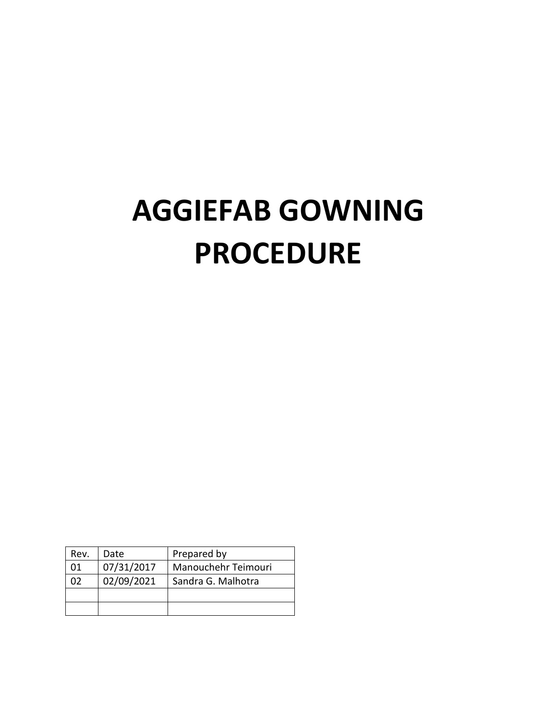# **AGGIEFAB GOWNING PROCEDURE**

| Rev. | Date       | Prepared by         |
|------|------------|---------------------|
| 01   | 07/31/2017 | Manouchehr Teimouri |
| 02   | 02/09/2021 | Sandra G. Malhotra  |
|      |            |                     |
|      |            |                     |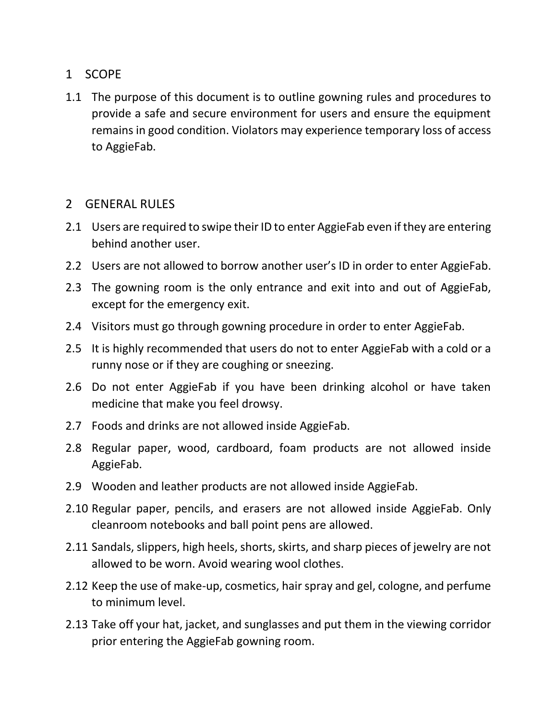## 1 SCOPE

1.1 The purpose of this document is to outline gowning rules and procedures to provide a safe and secure environment for users and ensure the equipment remains in good condition. Violators may experience temporary loss of access to AggieFab.

### 2 GENERAL RULES

- 2.1 Users are required to swipe their ID to enter AggieFab even if they are entering behind another user.
- 2.2 Users are not allowed to borrow another user's ID in order to enter AggieFab.
- 2.3 The gowning room is the only entrance and exit into and out of AggieFab, except for the emergency exit.
- 2.4 Visitors must go through gowning procedure in order to enter AggieFab.
- 2.5 It is highly recommended that users do not to enter AggieFab with a cold or a runny nose or if they are coughing or sneezing.
- 2.6 Do not enter AggieFab if you have been drinking alcohol or have taken medicine that make you feel drowsy.
- 2.7 Foods and drinks are not allowed inside AggieFab.
- 2.8 Regular paper, wood, cardboard, foam products are not allowed inside AggieFab.
- 2.9 Wooden and leather products are not allowed inside AggieFab.
- 2.10 Regular paper, pencils, and erasers are not allowed inside AggieFab. Only cleanroom notebooks and ball point pens are allowed.
- 2.11 Sandals, slippers, high heels, shorts, skirts, and sharp pieces of jewelry are not allowed to be worn. Avoid wearing wool clothes.
- 2.12 Keep the use of make-up, cosmetics, hair spray and gel, cologne, and perfume to minimum level.
- 2.13 Take off your hat, jacket, and sunglasses and put them in the viewing corridor prior entering the AggieFab gowning room.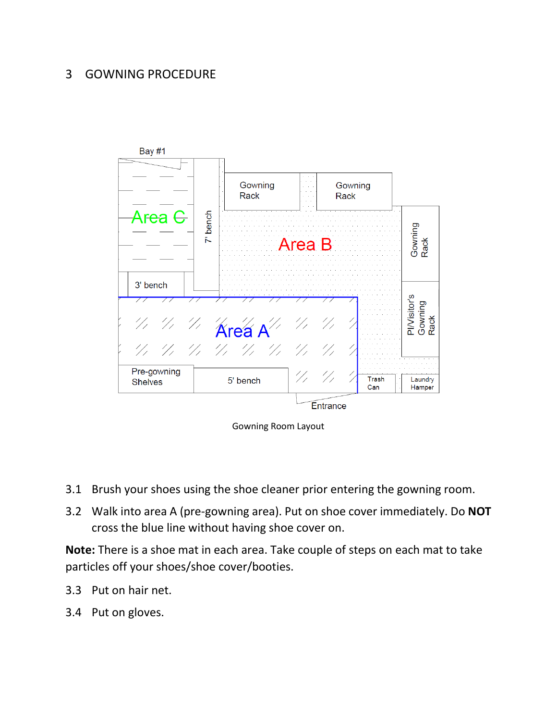# 3 GOWNING PROCEDURE





- 3.1 Brush your shoes using the shoe cleaner prior entering the gowning room.
- 3.2 Walk into area A (pre-gowning area). Put on shoe cover immediately. Do **NOT** cross the blue line without having shoe cover on.

**Note:** There is a shoe mat in each area. Take couple of steps on each mat to take particles off your shoes/shoe cover/booties.

- 3.3 Put on hair net.
- 3.4 Put on gloves.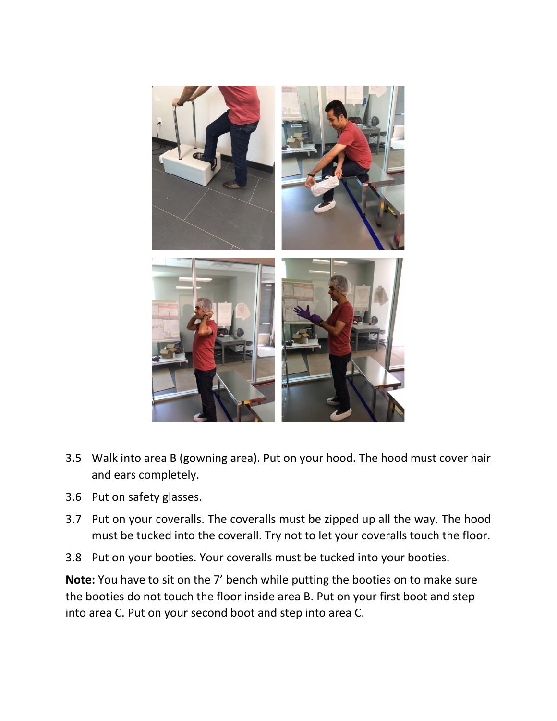

- 3.5 Walk into area B (gowning area). Put on your hood. The hood must cover hair and ears completely.
- 3.6 Put on safety glasses.
- 3.7 Put on your coveralls. The coveralls must be zipped up all the way. The hood must be tucked into the coverall. Try not to let your coveralls touch the floor.
- 3.8 Put on your booties. Your coveralls must be tucked into your booties.

**Note:** You have to sit on the 7' bench while putting the booties on to make sure the booties do not touch the floor inside area B. Put on your first boot and step into area C. Put on your second boot and step into area C.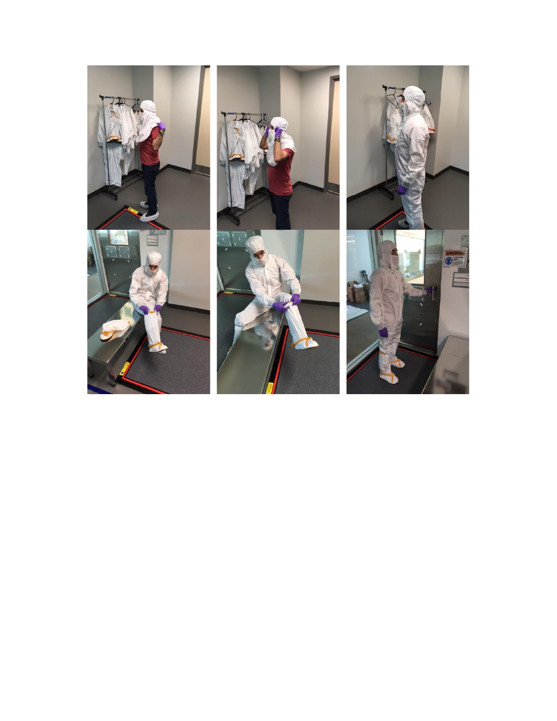